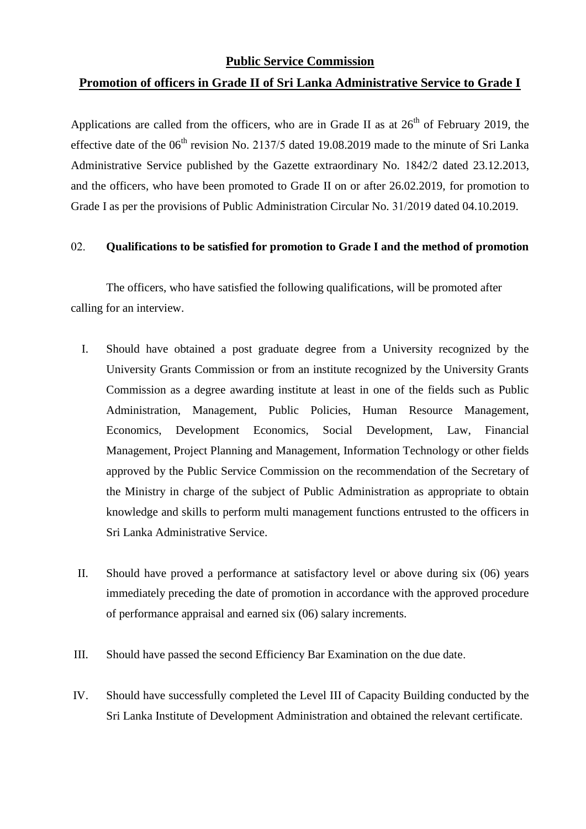## **Public Service Commission**

# **Promotion of officers in Grade II of Sri Lanka Administrative Service to Grade I**

Applications are called from the officers, who are in Grade II as at  $26<sup>th</sup>$  of February 2019, the effective date of the  $06<sup>th</sup>$  revision No. 2137/5 dated 19.08.2019 made to the minute of Sri Lanka Administrative Service published by the Gazette extraordinary No. 1842/2 dated 23.12.2013, and the officers, who have been promoted to Grade II on or after 26.02.2019, for promotion to Grade I as per the provisions of Public Administration Circular No. 31/2019 dated 04.10.2019.

### 02. **Qualifications to be satisfied for promotion to Grade I and the method of promotion**

The officers, who have satisfied the following qualifications, will be promoted after calling for an interview.

- I. Should have obtained a post graduate degree from a University recognized by the University Grants Commission or from an institute recognized by the University Grants Commission as a degree awarding institute at least in one of the fields such as Public Administration, Management, Public Policies, Human Resource Management, Economics, Development Economics, Social Development, Law, Financial Management, Project Planning and Management, Information Technology or other fields approved by the Public Service Commission on the recommendation of the Secretary of the Ministry in charge of the subject of Public Administration as appropriate to obtain knowledge and skills to perform multi management functions entrusted to the officers in Sri Lanka Administrative Service.
- II. Should have proved a performance at satisfactory level or above during six (06) years immediately preceding the date of promotion in accordance with the approved procedure of performance appraisal and earned six (06) salary increments.
- III. Should have passed the second Efficiency Bar Examination on the due date.
- IV. Should have successfully completed the Level III of Capacity Building conducted by the Sri Lanka Institute of Development Administration and obtained the relevant certificate.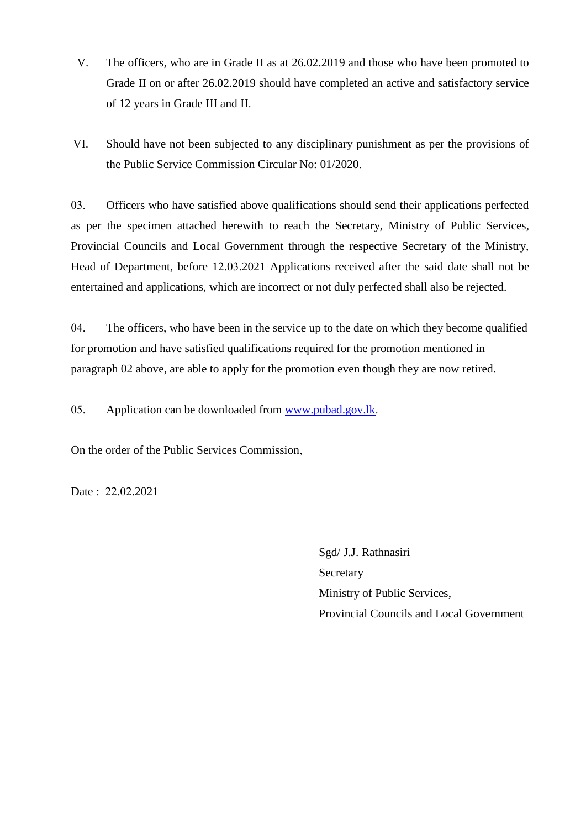- V. The officers, who are in Grade II as at 26.02.2019 and those who have been promoted to Grade II on or after 26.02.2019 should have completed an active and satisfactory service of 12 years in Grade III and II.
- VI. Should have not been subjected to any disciplinary punishment as per the provisions of the Public Service Commission Circular No: 01/2020.

03. Officers who have satisfied above qualifications should send their applications perfected as per the specimen attached herewith to reach the Secretary, Ministry of Public Services, Provincial Councils and Local Government through the respective Secretary of the Ministry, Head of Department, before 12.03.2021 Applications received after the said date shall not be entertained and applications, which are incorrect or not duly perfected shall also be rejected.

04. The officers, who have been in the service up to the date on which they become qualified for promotion and have satisfied qualifications required for the promotion mentioned in paragraph 02 above, are able to apply for the promotion even though they are now retired.

05. Application can be downloaded from [www.pubad.gov.lk.](https://www.pubad.gov.lk/)

On the order of the Public Services Commission,

Date : 22.02.2021

Sgd/ J.J. Rathnasiri **Secretary** Ministry of Public Services, Provincial Councils and Local Government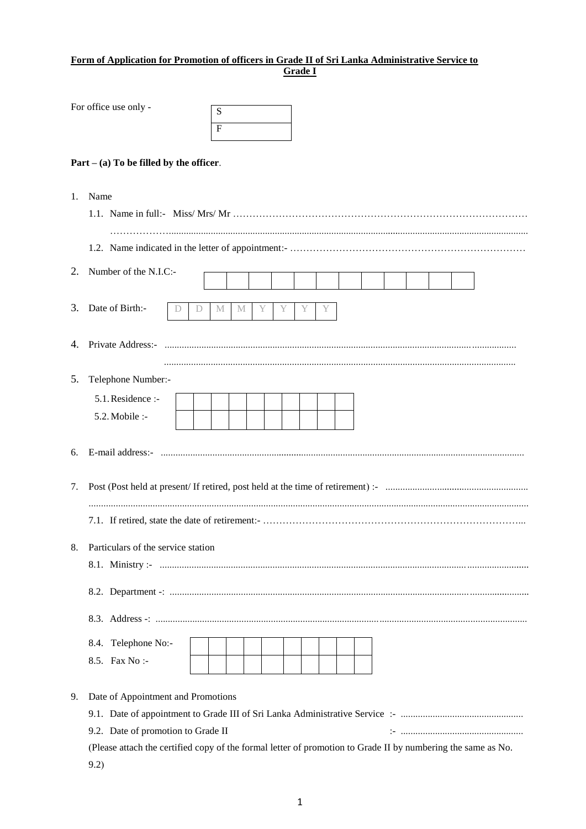#### **Form of Application for Promotion of officers in Grade II of Sri Lanka Administrative Service to Grade I**

|    | For office use only -                                                                                                                                                                            |   |   | S<br>F |   |   |   |   |    |  |  |  |  |  |
|----|--------------------------------------------------------------------------------------------------------------------------------------------------------------------------------------------------|---|---|--------|---|---|---|---|----|--|--|--|--|--|
|    | $Part - (a) To be filled by the officer.$                                                                                                                                                        |   |   |        |   |   |   |   |    |  |  |  |  |  |
| 1. | Name                                                                                                                                                                                             |   |   |        |   |   |   |   |    |  |  |  |  |  |
|    |                                                                                                                                                                                                  |   |   |        |   |   |   |   |    |  |  |  |  |  |
| 2. | Number of the N.I.C:-                                                                                                                                                                            |   |   |        |   |   |   |   |    |  |  |  |  |  |
|    | 3. Date of Birth:-                                                                                                                                                                               | D | D | M      | M | Υ | Y | Y | Y. |  |  |  |  |  |
|    |                                                                                                                                                                                                  |   |   |        |   |   |   |   |    |  |  |  |  |  |
| 5. | Telephone Number:-<br>5.1. Residence :-<br>5.2. Mobile :-                                                                                                                                        |   |   |        |   |   |   |   |    |  |  |  |  |  |
| 6. |                                                                                                                                                                                                  |   |   |        |   |   |   |   |    |  |  |  |  |  |
| 7. |                                                                                                                                                                                                  |   |   |        |   |   |   |   |    |  |  |  |  |  |
| 8. | Particulars of the service station                                                                                                                                                               |   |   |        |   |   |   |   |    |  |  |  |  |  |
|    |                                                                                                                                                                                                  |   |   |        |   |   |   |   |    |  |  |  |  |  |
|    |                                                                                                                                                                                                  |   |   |        |   |   |   |   |    |  |  |  |  |  |
|    |                                                                                                                                                                                                  |   |   |        |   |   |   |   |    |  |  |  |  |  |
|    | 8.4. Telephone No:-<br>8.5. Fax No :-                                                                                                                                                            |   |   |        |   |   |   |   |    |  |  |  |  |  |
| 9. | Date of Appointment and Promotions<br>9.2. Date of promotion to Grade II<br>(Please attach the certified copy of the formal letter of promotion to Grade II by numbering the same as No.<br>9.2) |   |   |        |   |   |   |   |    |  |  |  |  |  |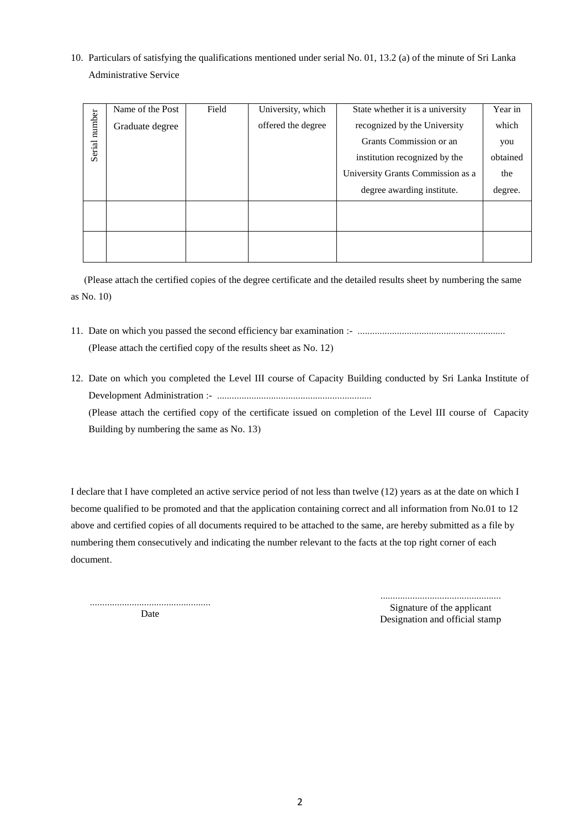10. Particulars of satisfying the qualifications mentioned under serial No. 01, 13.2 (a) of the minute of Sri Lanka Administrative Service

|                           | Name of the Post | Field              | University, which             | State whether it is a university  | Year in  |
|---------------------------|------------------|--------------------|-------------------------------|-----------------------------------|----------|
| number<br>Graduate degree |                  | offered the degree | recognized by the University  | which                             |          |
|                           |                  |                    |                               | Grants Commission or an           | you      |
| Serial                    |                  |                    | institution recognized by the |                                   | obtained |
|                           |                  |                    |                               | University Grants Commission as a | the      |
|                           |                  |                    |                               | degree awarding institute.        | degree.  |
|                           |                  |                    |                               |                                   |          |
|                           |                  |                    |                               |                                   |          |
|                           |                  |                    |                               |                                   |          |
|                           |                  |                    |                               |                                   |          |

(Please attach the certified copies of the degree certificate and the detailed results sheet by numbering the same as No. 10)

- 11. Date on which you passed the second efficiency bar examination :- ............................................................ (Please attach the certified copy of the results sheet as No. 12)
- 12. Date on which you completed the Level III course of Capacity Building conducted by Sri Lanka Institute of Development Administration :- ............................................................... (Please attach the certified copy of the certificate issued on completion of the Level III course of Capacity Building by numbering the same as No. 13)

I declare that I have completed an active service period of not less than twelve (12) years as at the date on which I become qualified to be promoted and that the application containing correct and all information from No.01 to 12 above and certified copies of all documents required to be attached to the same, are hereby submitted as a file by numbering them consecutively and indicating the number relevant to the facts at the top right corner of each document.

................................................. Date

................................................. Signature of the applicant Designation and official stamp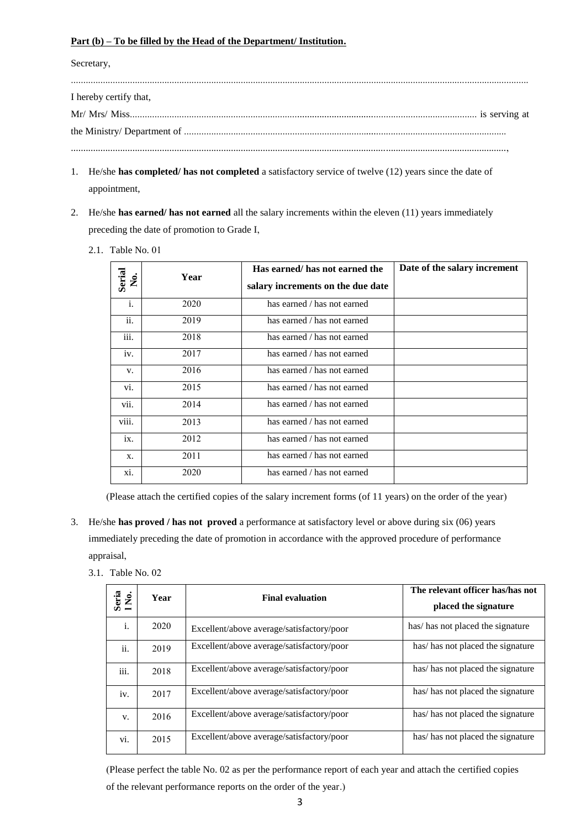#### **Part (b) – To be filled by the Head of the Department/ Institution.**

Secretary,

| I hereby certify that, |  |  |  |  |  |
|------------------------|--|--|--|--|--|
|                        |  |  |  |  |  |
|                        |  |  |  |  |  |
|                        |  |  |  |  |  |

- 1. He/she **has completed/ has not completed** a satisfactory service of twelve (12) years since the date of appointment,
- 2. He/she **has earned/ has not earned** all the salary increments within the eleven (11) years immediately preceding the date of promotion to Grade I,
	- 2.1. Table No. 01

| Serial<br>Ż. | Year | Has earned/ has not earned the<br>salary increments on the due date | Date of the salary increment |
|--------------|------|---------------------------------------------------------------------|------------------------------|
| i.           | 2020 | has earned / has not earned                                         |                              |
| ii.          | 2019 | has earned / has not earned                                         |                              |
| iii.         | 2018 | has earned / has not earned                                         |                              |
| iv.          | 2017 | has earned / has not earned                                         |                              |
| V.           | 2016 | has earned / has not earned                                         |                              |
| vi.          | 2015 | has earned / has not earned                                         |                              |
| vii.         | 2014 | has earned / has not earned                                         |                              |
| viii.        | 2013 | has earned / has not earned                                         |                              |
| ix.          | 2012 | has earned / has not earned                                         |                              |
| X.           | 2011 | has earned / has not earned                                         |                              |
| xi.          | 2020 | has earned / has not earned                                         |                              |

(Please attach the certified copies of the salary increment forms (of 11 years) on the order of the year)

- 3. He/she **has proved / has not proved** a performance at satisfactory level or above during six (06) years immediately preceding the date of promotion in accordance with the approved procedure of performance appraisal,
	- 3.1. Table No. 02

| Seria<br>INo.    | Year | <b>Final evaluation</b>                   | The relevant officer has/has not<br>placed the signature |
|------------------|------|-------------------------------------------|----------------------------------------------------------|
| i.               | 2020 | Excellent/above average/satisfactory/poor | has/has not placed the signature                         |
| ii.              | 2019 | Excellent/above average/satisfactory/poor | has/ has not placed the signature                        |
| $\cdots$<br>iіi. | 2018 | Excellent/above average/satisfactory/poor | has/has not placed the signature                         |
| iv.              | 2017 | Excellent/above average/satisfactory/poor | has/has not placed the signature                         |
| V.               | 2016 | Excellent/above average/satisfactory/poor | has/has not placed the signature                         |
| vi.              | 2015 | Excellent/above average/satisfactory/poor | has/has not placed the signature                         |

(Please perfect the table No. 02 as per the performance report of each year and attach the certified copies of the relevant performance reports on the order of the year.)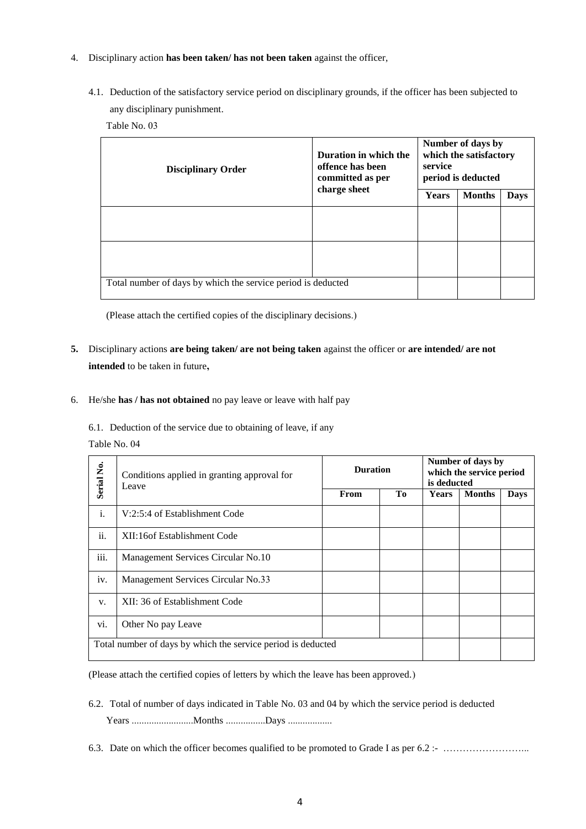- 4. Disciplinary action **has been taken/ has not been taken** against the officer,
	- 4.1. Deduction of the satisfactory service period on disciplinary grounds, if the officer has been subjected to any disciplinary punishment.

Table No. 03

| <b>Disciplinary Order</b>                                    | Duration in which the<br>offence has been<br>committed as per<br>charge sheet | Number of days by<br>which the satisfactory<br>service<br>period is deducted |               |             |  |
|--------------------------------------------------------------|-------------------------------------------------------------------------------|------------------------------------------------------------------------------|---------------|-------------|--|
|                                                              |                                                                               | <b>Years</b>                                                                 | <b>Months</b> | <b>Days</b> |  |
|                                                              |                                                                               |                                                                              |               |             |  |
|                                                              |                                                                               |                                                                              |               |             |  |
| Total number of days by which the service period is deducted |                                                                               |                                                                              |               |             |  |

(Please attach the certified copies of the disciplinary decisions.)

- **5.** Disciplinary actions **are being taken/ are not being taken** against the officer or **are intended/ are not intended** to be taken in future**,**
- 6. He/she **has / has not obtained** no pay leave or leave with half pay

6.1. Deduction of the service due to obtaining of leave, if any

Table No. 04

| Serial No.                                                   | Conditions applied in granting approval for<br>Leave | <b>Duration</b> |    | Number of days by<br>which the service period<br>is deducted |               |             |
|--------------------------------------------------------------|------------------------------------------------------|-----------------|----|--------------------------------------------------------------|---------------|-------------|
|                                                              |                                                      | From            | To | <b>Years</b>                                                 | <b>Months</b> | <b>Days</b> |
| i.                                                           | V:2:5:4 of Establishment Code                        |                 |    |                                                              |               |             |
| ii.                                                          | XII:16 of Establishment Code                         |                 |    |                                                              |               |             |
| iii.                                                         | Management Services Circular No.10                   |                 |    |                                                              |               |             |
| iv.                                                          | Management Services Circular No.33                   |                 |    |                                                              |               |             |
| V.                                                           | XII: 36 of Establishment Code                        |                 |    |                                                              |               |             |
| vi.                                                          | Other No pay Leave                                   |                 |    |                                                              |               |             |
| Total number of days by which the service period is deducted |                                                      |                 |    |                                                              |               |             |

(Please attach the certified copies of letters by which the leave has been approved.)

- 6.2. Total of number of days indicated in Table No. 03 and 04 by which the service period is deducted Years .........................Months ................Days ..................
- 6.3. Date on which the officer becomes qualified to be promoted to Grade I as per 6.2 :- …………………………